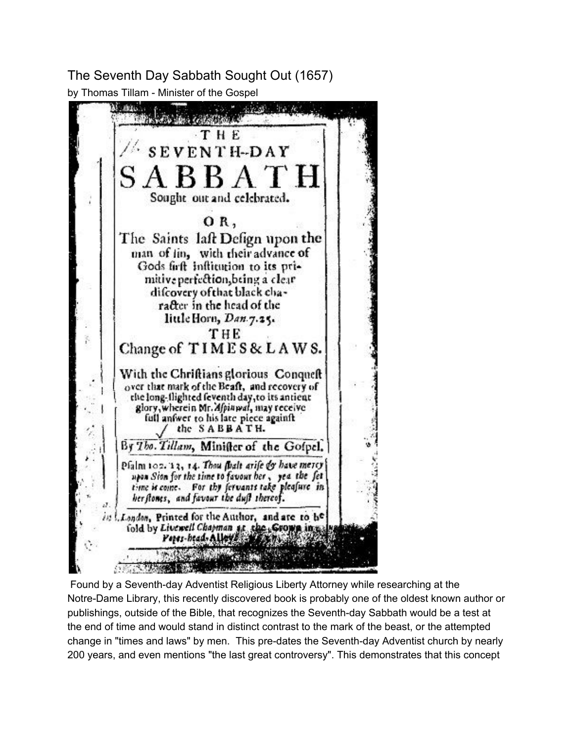The Seventh Day Sabbath Sought Out (1657) by Thomas Tillam - Minister of the Gospel



Found by a Seventh-day Adventist Religious Liberty Attorney while researching at the Notre-Dame Library, this recently discovered book is probably one of the oldest known author or publishings, outside of the Bible, that recognizes the Seventh-day Sabbath would be a test at the end of time and would stand in distinct contrast to the mark of the beast, or the attempted change in "times and laws" by men. This pre-dates the Seventh-day Adventist church by nearly 200 years, and even mentions "the last great controversy". This demonstrates that this concept